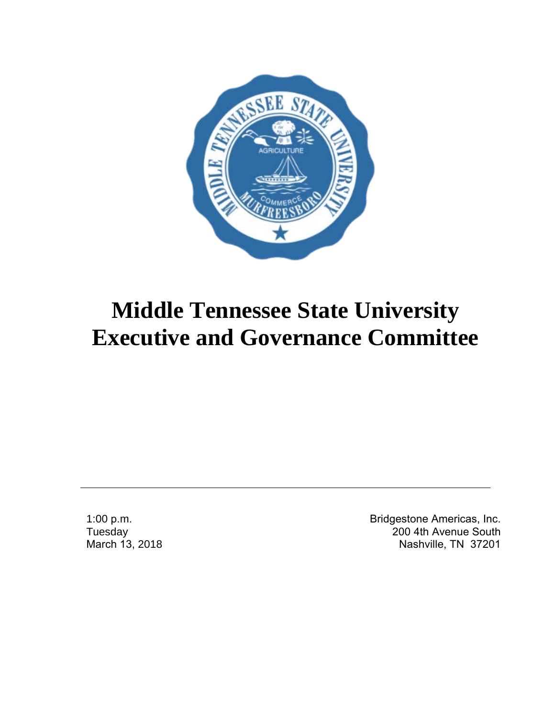

# **Middle Tennessee State University Executive and Governance Committee**

1:00 p.m. Tuesday March 13, 2018 Bridgestone Americas, Inc. 200 4th Avenue South Nashville, TN 37201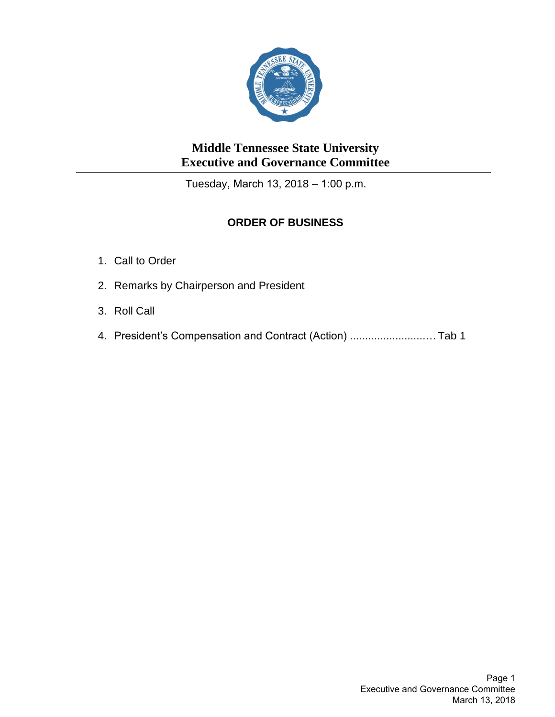

### **Middle Tennessee State University Executive and Governance Committee**

Tuesday, March 13, 2018 – 1:00 p.m.

### **ORDER OF BUSINESS**

- 1. Call to Order
- 2. Remarks by Chairperson and President
- 3. Roll Call
- 4. President's Compensation and Contract (Action) ............................Tab 1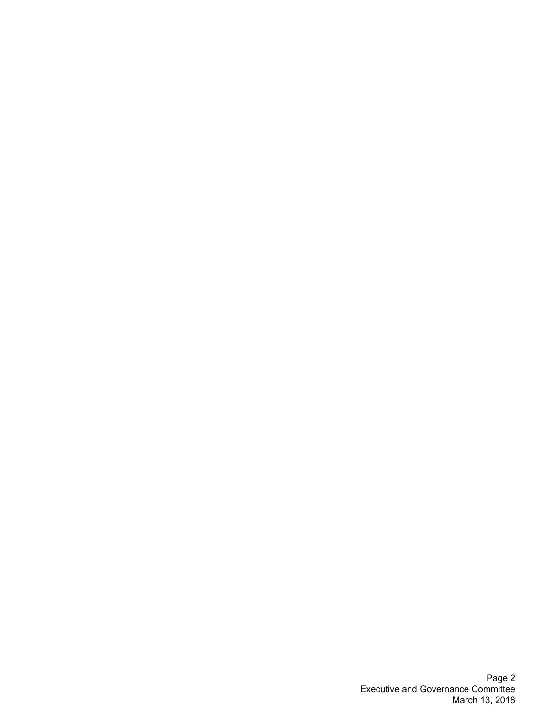Page 2 Executive and Governance Committee March 13, 2018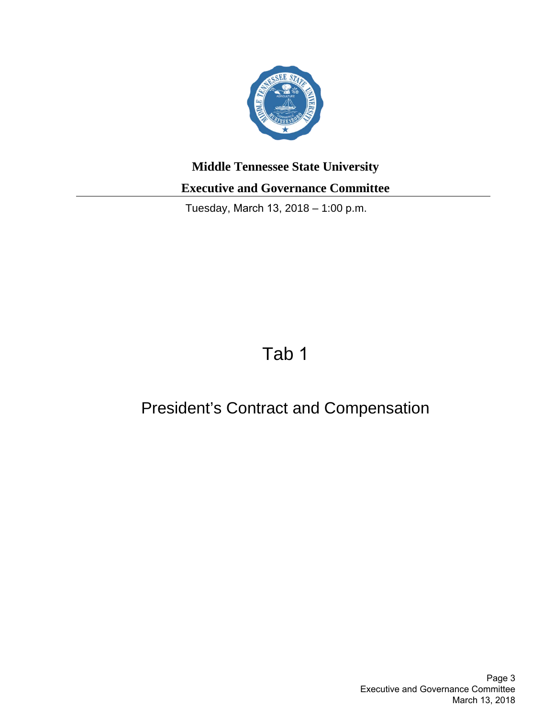

**Middle Tennessee State University**

### **Executive and Governance Committee**

Tuesday, March 13, 2018 – 1:00 p.m.

## Tab 1

### President's Contract and Compensation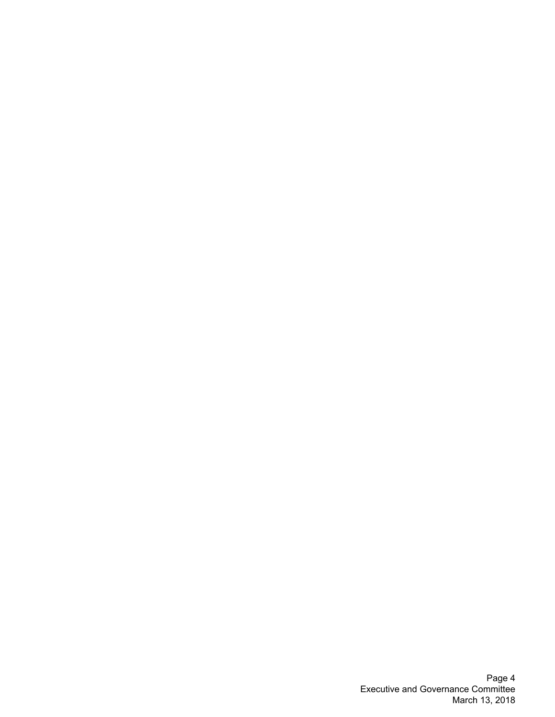Page 4 Executive and Governance Committee March 13, 2018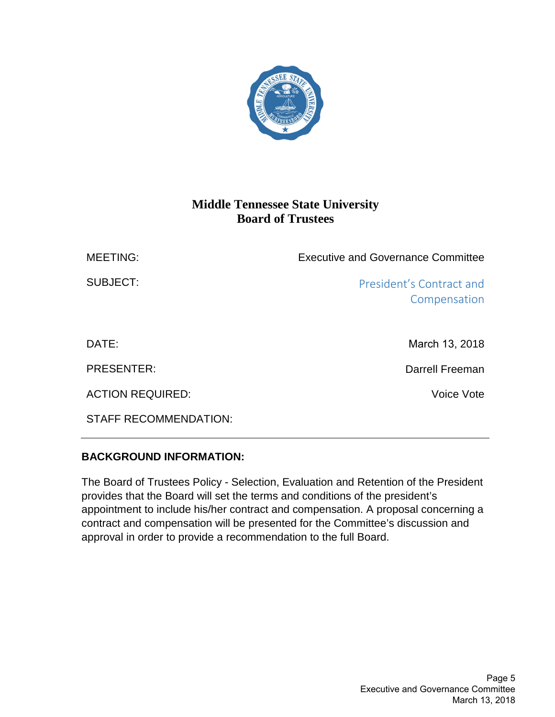

### **Middle Tennessee State University Board of Trustees**

| <b>MEETING:</b>              | <b>Executive and Governance Committee</b> |
|------------------------------|-------------------------------------------|
| <b>SUBJECT:</b>              | President's Contract and<br>Compensation  |
| DATE:                        | March 13, 2018                            |
| <b>PRESENTER:</b>            | Darrell Freeman                           |
| <b>ACTION REQUIRED:</b>      | Voice Vote                                |
| <b>STAFF RECOMMENDATION:</b> |                                           |
|                              |                                           |

#### **BACKGROUND INFORMATION:**

The Board of Trustees Policy - Selection, Evaluation and Retention of the President provides that the Board will set the terms and conditions of the president's appointment to include his/her contract and compensation. A proposal concerning a contract and compensation will be presented for the Committee's discussion and approval in order to provide a recommendation to the full Board.